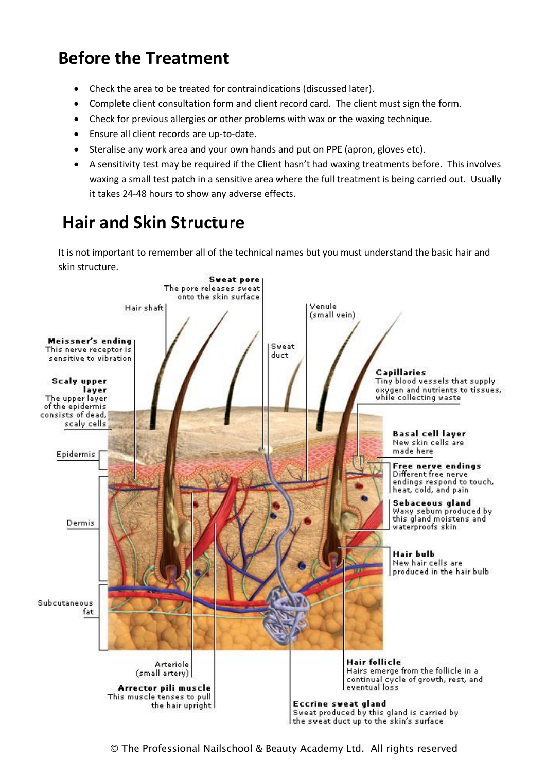## **Before the Treatment**

- Check the area to be treated for contraindications (discussed later).
- Complete client consultation form and client record card. The client must sign the form.
- Check for previous allergies or other problems with wax or the waxing technique.
- Ensure all client records are up-to-date.
- Steralise any work area and your own hands and put on PPE (apron, gloves etc).
- A sensitivity test may be required if the Client hasn't had waxing treatments before. This involves waxing a small test patch in a sensitive area where the full treatment is being carried out. Usually it takes 24-48 hours to show any adverse effects.

## **Hair and Skin Structure**

It is not important to remember all of the technical names but you must understand the basic hair and skin structure.